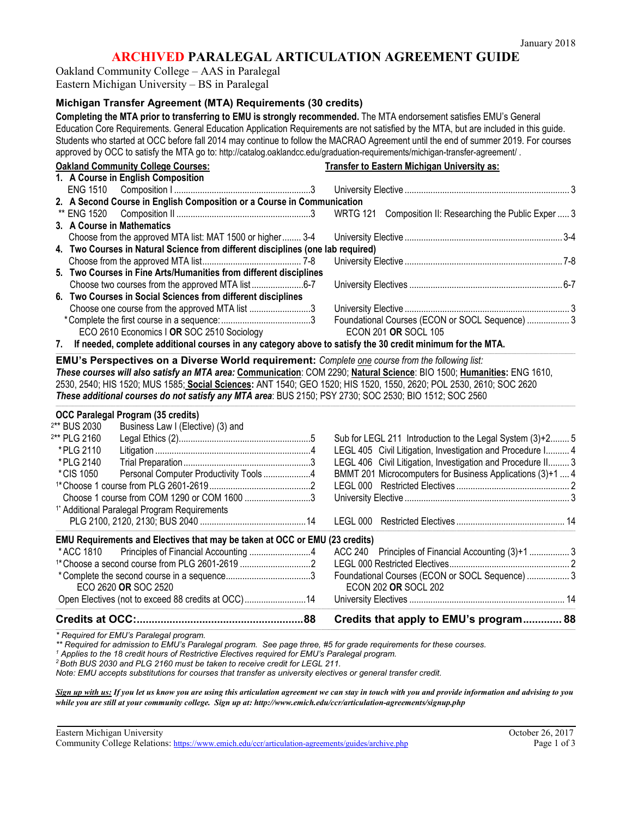## **ARCHIVED PARALEGAL ARTICULATION AGREEMENT GUIDE**

Oakland Community College – AAS in Paralegal Eastern Michigan University – BS in Paralegal

## **Michigan Transfer Agreement (MTA) Requirements (30 credits)**

**Completing the MTA prior to transferring to EMU is strongly recommended.** The MTA endorsement satisfies EMU's General Education Core Requirements. General Education Application Requirements are not satisfied by the MTA, but are included in this guide. Students who started at OCC before fall 2014 may continue to follow the MACRAO Agreement until the end of summer 2019. For courses approved by OCC to satisfy the MTA go to: http://catalog.oaklandcc.edu/graduation-requirements/michigan-transfer-agreement/ .

| <b>Oakland Community College Courses:</b>                                                                              | <b>Transfer to Eastern Michigan University as:</b>          |  |
|------------------------------------------------------------------------------------------------------------------------|-------------------------------------------------------------|--|
| 1. A Course in English Composition                                                                                     |                                                             |  |
|                                                                                                                        |                                                             |  |
| 2. A Second Course in English Composition or a Course in Communication                                                 |                                                             |  |
| ** ENG 1520                                                                                                            | WRTG 121 Composition II: Researching the Public Exper  3    |  |
| 3. A Course in Mathematics                                                                                             |                                                             |  |
| Choose from the approved MTA list: MAT 1500 or higher 3-4                                                              |                                                             |  |
| 4. Two Courses in Natural Science from different disciplines (one lab required)                                        |                                                             |  |
|                                                                                                                        |                                                             |  |
| 5. Two Courses in Fine Arts/Humanities from different disciplines                                                      |                                                             |  |
| Choose two courses from the approved MTA list 6-7                                                                      |                                                             |  |
| 6. Two Courses in Social Sciences from different disciplines                                                           |                                                             |  |
| Choose one course from the approved MTA list 3                                                                         |                                                             |  |
|                                                                                                                        | Foundational Courses (ECON or SOCL Sequence)  3             |  |
| ECO 2610 Economics   OR SOC 2510 Sociology                                                                             | <b>ECON 201 OR SOCL 105</b>                                 |  |
| If needed, complete additional courses in any category above to satisfy the 30 credit minimum for the MTA.<br>7.       |                                                             |  |
| EMU's Perspectives on a Diverse World requirement: Complete one course from the following list:                        |                                                             |  |
| These courses will also satisfy an MTA area: Communication: COM 2290; Natural Science: BIO 1500; Humanities: ENG 1610, |                                                             |  |
| 2530, 2540; HIS 1520; MUS 1585; Social Sciences: ANT 1540; GEO 1520; HIS 1520, 1550, 2620; POL 2530, 2610; SOC 2620    |                                                             |  |
|                                                                                                                        |                                                             |  |
| These additional courses do not satisfy any MTA area: BUS 2150; PSY 2730; SOC 2530; BIO 1512; SOC 2560                 |                                                             |  |
|                                                                                                                        |                                                             |  |
| <b>OCC Paralegal Program (35 credits)</b>                                                                              |                                                             |  |
| Business Law I (Elective) (3) and<br><sup>2**</sup> BUS 2030                                                           |                                                             |  |
| <sup>2**</sup> PLG 2160                                                                                                | Sub for LEGL 211 Introduction to the Legal System (3)+2 5   |  |
| *PLG 2110                                                                                                              | LEGL 405 Civil Litigation, Investigation and Procedure I 4  |  |
| *PLG 2140                                                                                                              | LEGL 406 Civil Litigation, Investigation and Procedure II 3 |  |
| Personal Computer Productivity Tools 4<br>*CIS 1050                                                                    | BMMT 201 Microcomputers for Business Applications (3)+1  4  |  |
|                                                                                                                        |                                                             |  |
| Choose 1 course from COM 1290 or COM 1600 3                                                                            |                                                             |  |
| <sup>1*</sup> Additional Paralegal Program Requirements                                                                |                                                             |  |
|                                                                                                                        |                                                             |  |
| EMU Requirements and Electives that may be taken at OCC or EMU (23 credits)                                            |                                                             |  |
| *ACC 1810                                                                                                              | ACC 240 Principles of Financial Accounting (3)+1  3         |  |
|                                                                                                                        |                                                             |  |
|                                                                                                                        | Foundational Courses (ECON or SOCL Sequence)  3             |  |
| ECO 2620 OR SOC 2520                                                                                                   | <b>ECON 202 OR SOCL 202</b>                                 |  |
| Open Electives (not to exceed 88 credits at OCC)14                                                                     |                                                             |  |
|                                                                                                                        | Credits that apply to EMU's program 88                      |  |

*\* Required for EMU's Paralegal program.*

*\*\* Required for admission to EMU's Paralegal program. See page three, #5 for grade requirements for these courses.*

*<sup>1</sup> Applies to the 18 credit hours of Restrictive Electives required for EMU's Paralegal program.*

*<sup>2</sup> Both BUS 2030 and PLG 2160 must be taken to receive credit for LEGL 211.* 

*Note: EMU accepts substitutions for courses that transfer as university electives or general transfer credit.* 

*Sign up with us: If you let us know you are using this articulation agreement we can stay in touch with you and provide information and advising to you while you are still at your community college. Sign up at: http://www.emich.edu/ccr/articulation-agreements/signup.php*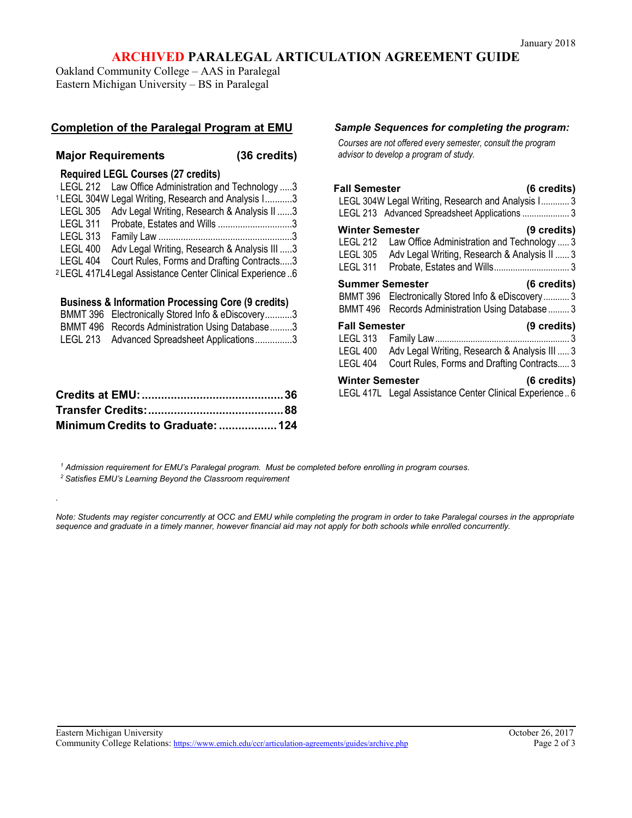# **ARCHIVED PARALEGAL ARTICULATION AGREEMENT GUIDE**

Oakland Community College – AAS in Paralegal Eastern Michigan University – BS in Paralegal

## **Completion of the Paralegal Program at EMU**

## **Major Requirements (36 credits)**

*.*

## **Required LEGL Courses (27 credits)**

| LEGL 212 Law Office Administration and Technology 3                  |  |
|----------------------------------------------------------------------|--|
| <sup>1</sup> LEGL 304W Legal Writing, Research and Analysis I3       |  |
| LEGL 305 Adv Legal Writing, Research & Analysis II 3                 |  |
| LEGL 311 Probate, Estates and Wills 3                                |  |
| <b>LEGL 313</b>                                                      |  |
| LEGL 400<br>Adv Legal Writing, Research & Analysis III 3             |  |
| Court Rules, Forms and Drafting Contracts3<br>LEGL 404               |  |
| <sup>2</sup> LEGL 417L4 Legal Assistance Center Clinical Experience6 |  |

#### **Business & Information Processing Core (9 credits)**

| BMMT 396 Electronically Stored Info & eDiscovery3 |
|---------------------------------------------------|
| BMMT 496 Records Administration Using Database3   |
| LEGL 213 Advanced Spreadsheet Applications3       |

| Minimum Credits to Graduate:  124 |  |
|-----------------------------------|--|

#### *Sample Sequences for completing the program:*

*Courses are not offered every semester, consult the program advisor to develop a program of study.*

| <b>Fall Semester</b><br>(6 credits)                                                                                     |                                                          |
|-------------------------------------------------------------------------------------------------------------------------|----------------------------------------------------------|
| LEGL 304W Legal Writing, Research and Analysis I 3<br>LEGL 213 Advanced Spreadsheet Applications  3                     |                                                          |
| (9 credits)<br>Law Office Administration and Technology  3<br>LEGL 305 Adv Legal Writing, Research & Analysis II  3     | <b>Winter Semester</b><br>LEGL 212<br>LEGL 311           |
| (6 credits)<br>BMMT 396 Electronically Stored Info & eDiscovery  3<br>BMMT 496 Records Administration Using Database  3 | <b>Summer Semester</b>                                   |
| (9 credits)<br>Adv Legal Writing, Research & Analysis III  3<br>Court Rules, Forms and Drafting Contracts 3             | <b>Fall Semester</b><br>LEGL 313<br>LEGL 400<br>LEGL 404 |
| (6 credits)<br>LEGL 417L Legal Assistance Center Clinical Experience 6                                                  | <b>Winter Semester</b>                                   |

*<sup>1</sup> Admission requirement for EMU's Paralegal program. Must be completed before enrolling in program courses.*

*<sup>2</sup> Satisfies EMU's Learning Beyond the Classroom requirement*

*Note: Students may register concurrently at OCC and EMU while completing the program in order to take Paralegal courses in the appropriate sequence and graduate in a timely manner, however financial aid may not apply for both schools while enrolled concurrently.*